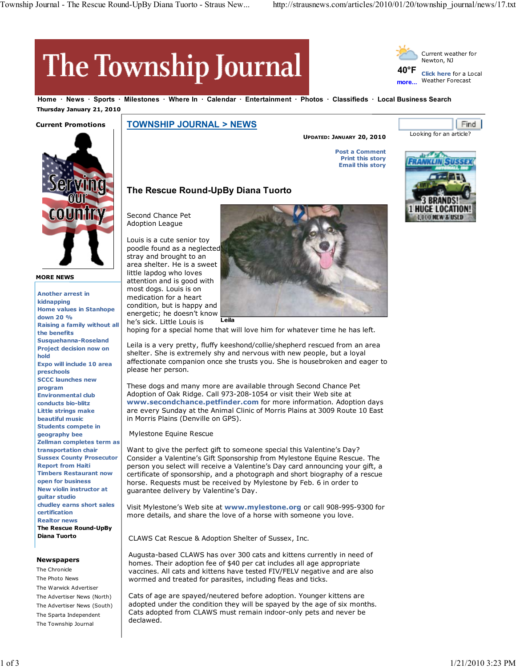**40°F more...**

# The Township Journal

**Home News Sports Milestones Where In Calendar Entertainment Photos Classifieds Local Business Search Thursday January 21, 2010**

## **Current Promotions**



**MORE NEWS**

**Another arrest in kidnapping Home values in Stanhope down 20 % Raising a family without all the benefits Susquehanna-Roseland Project decision now on hold Expo will include 10 area preschools SCCC launches new program Environmental club conducts bio-blitz Little strings make beautiful music Students compete in geography bee Zellman completes term as transportation chair Sussex County Prosecutor Report from Haiti Timbers Restaurant now open for business New violin instructor at guitar studio chudley earns short sales certification Realtor news The Rescue Round-UpBy Diana Tuorto**

#### **Newspapers**

The Chronicle The Photo News The Warwick Advertiser The Advertiser News (North) The Advertiser News (South) The Sparta Independent The Township Journal

**TOWNSHIP JOURNAL > NEWS**

**UPDATED: JANUARY 20, 2010**

**Post a Comment Print this story Email this story**



Looking for an article?

Current weather for Newton, NJ

**Click here** for a Local Weather Forecast

Find

## **The Rescue Round-UpBy Diana Tuorto**

Second Chance Pet Adoption League

Louis is a cute senior toy poodle found as a neglected stray and brought to an area shelter. He is a sweet little lapdog who loves attention and is good with most dogs. Louis is on medication for a heart condition, but is happy and energetic; he doesn't know he's sick. Little Louis is



hoping for a special home that will love him for whatever time he has left.

Leila is a very pretty, fluffy keeshond/collie/shepherd rescued from an area shelter. She is extremely shy and nervous with new people, but a loyal affectionate companion once she trusts you. She is housebroken and eager to please her person.

These dogs and many more are available through Second Chance Pet Adoption of Oak Ridge. Call 973-208-1054 or visit their Web site at **www.secondchance.petfinder.com** for more information. Adoption days are every Sunday at the Animal Clinic of Morris Plains at 3009 Route 10 East in Morris Plains (Denville on GPS).

Mylestone Equine Rescue

Want to give the perfect gift to someone special this Valentine's Day? Consider a Valentine's Gift Sponsorship from Mylestone Equine Rescue. The person you select will receive a Valentine's Day card announcing your gift, a certificate of sponsorship, and a photograph and short biography of a rescue horse. Requests must be received by Mylestone by Feb. 6 in order to guarantee delivery by Valentine's Day.

Visit Mylestone's Web site at **www.mylestone.org** or call 908-995-9300 for more details, and share the love of a horse with someone you love.

CLAWS Cat Rescue & Adoption Shelter of Sussex, Inc.

Augusta-based CLAWS has over 300 cats and kittens currently in need of homes. Their adoption fee of \$40 per cat includes all age appropriate vaccines. All cats and kittens have tested FIV/FELV negative and are also wormed and treated for parasites, including fleas and ticks.

Cats of age are spayed/neutered before adoption. Younger kittens are adopted under the condition they will be spayed by the age of six months. Cats adopted from CLAWS must remain indoor-only pets and never be declawed.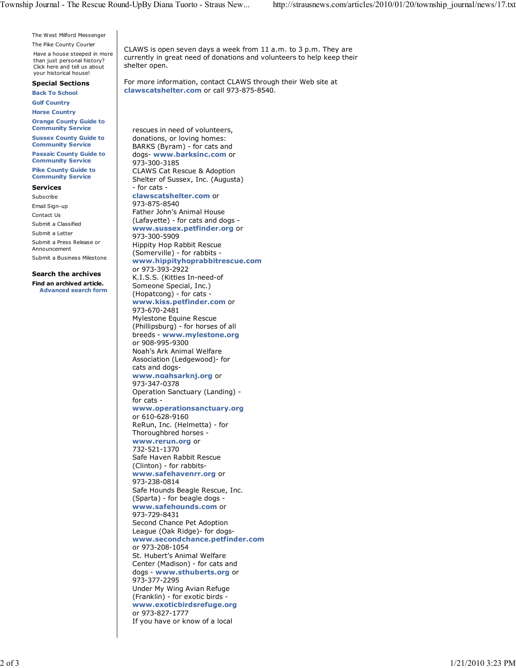The West Milford Messenger The Pike County Courier

Have a house steeped in more than just personal history? Click here and tell us about your historical house!

**Special Sections**

**Back To School Golf Country**

**Horse Country**

**Orange County Guide to Community Service**

**Sussex County Guide to Community Service**

**Passaic County Guide to Community Service**

**Pike County Guide to Community Service**

### **Services**

Subscribe Email Sign-up Contact Us Submit a Classified Submit a Letter Submit a Press Release or Announcement

Submit a Business Milestone

## **Search the archives**

**Find an archived article. Advanced search form**

CLAWS is open seven days a week from 11 a.m. to 3 p.m. They are currently in great need of donations and volunteers to help keep their shelter open.

For more information, contact CLAWS through their Web site at **clawscatshelter.com** or call 973-875-8540.

rescues in need of volunteers, donations, or loving homes: BARKS (Byram) - for cats and dogs- **www.barksinc.com** or 973-300-3185 CLAWS Cat Rescue & Adoption Shelter of Sussex, Inc. (Augusta) - for cats **clawscatshelter.com** or 973-875-8540 Father John's Animal House (Lafayette) - for cats and dogs **www.sussex.petfinder.org** or 973-300-5909 Hippity Hop Rabbit Rescue (Somerville) - for rabbits **www.hippityhoprabbitrescue.com** or 973-393-2922 K.I.S.S. (Kitties In-need-of Someone Special, Inc.) (Hopatcong) - for cats **www.kiss.petfinder.com** or 973-670-2481 Mylestone Equine Rescue (Phillipsburg) - for horses of all breeds - **www.mylestone.org** or 908-995-9300 Noah's Ark Animal Welfare Association (Ledgewood)- for cats and dogs**www.noahsarknj.org** or 973-347-0378 Operation Sanctuary (Landing) for cats **www.operationsanctuary.org** or 610-628-9160 ReRun, Inc. (Helmetta) - for Thoroughbred horses **www.rerun.org** or 732-521-1370 Safe Haven Rabbit Rescue (Clinton) - for rabbits**www.safehavenrr.org** or 973-238-0814 Safe Hounds Beagle Rescue, Inc. (Sparta) - for beagle dogs **www.safehounds.com** or 973-729-8431 Second Chance Pet Adoption League (Oak Ridge)- for dogs**www.secondchance.petfinder.com** or 973-208-1054 St. Hubert's Animal Welfare Center (Madison) - for cats and dogs - **www.sthuberts.org** or 973-377-2295 Under My Wing Avian Refuge (Franklin) - for exotic birds **www.exoticbirdsrefuge.org** or 973-827-1777 If you have or know of a local